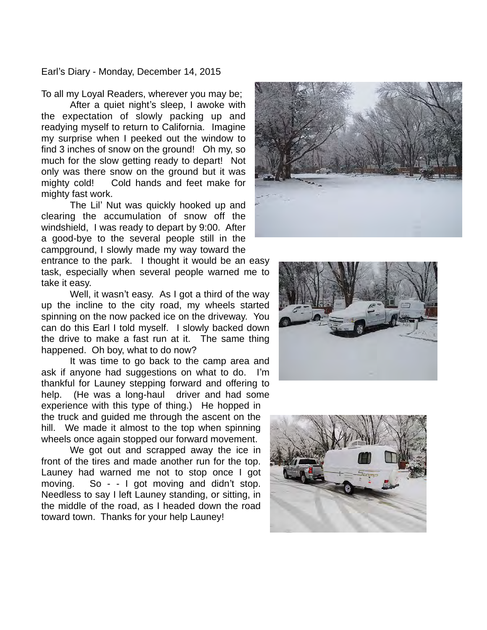Earl's Diary - Monday, December 14, 2015

To all my Loyal Readers, wherever you may be;

After a quiet night's sleep, I awoke with the expectation of slowly packing up and readying myself to return to California. Imagine my surprise when I peeked out the window to find 3 inches of snow on the ground! Oh my, so much for the slow getting ready to depart! Not only was there snow on the ground but it was mighty cold! Cold hands and feet make for mighty fast work.

The Lil' Nut was quickly hooked up and clearing the accumulation of snow off the windshield, I was ready to depart by 9:00. After a good-bye to the several people still in the campground, I slowly made my way toward the

entrance to the park. I thought it would be an easy task, especially when several people warned me to take it easy.

Well, it wasn't easy. As I got a third of the way up the incline to the city road, my wheels started spinning on the now packed ice on the driveway. You can do this Earl I told myself. I slowly backed down the drive to make a fast run at it. The same thing happened. Oh boy, what to do now?

It was time to go back to the camp area and ask if anyone had suggestions on what to do. I'm thankful for Launey stepping forward and offering to help. (He was a long-haul driver and had some experience with this type of thing.) He hopped in the truck and guided me through the ascent on the hill. We made it almost to the top when spinning wheels once again stopped our forward movement.

We got out and scrapped away the ice in front of the tires and made another run for the top. Launey had warned me not to stop once I got moving. So - - I got moving and didn't stop. Needless to say I left Launey standing, or sitting, in the middle of the road, as I headed down the road toward town. Thanks for your help Launey!